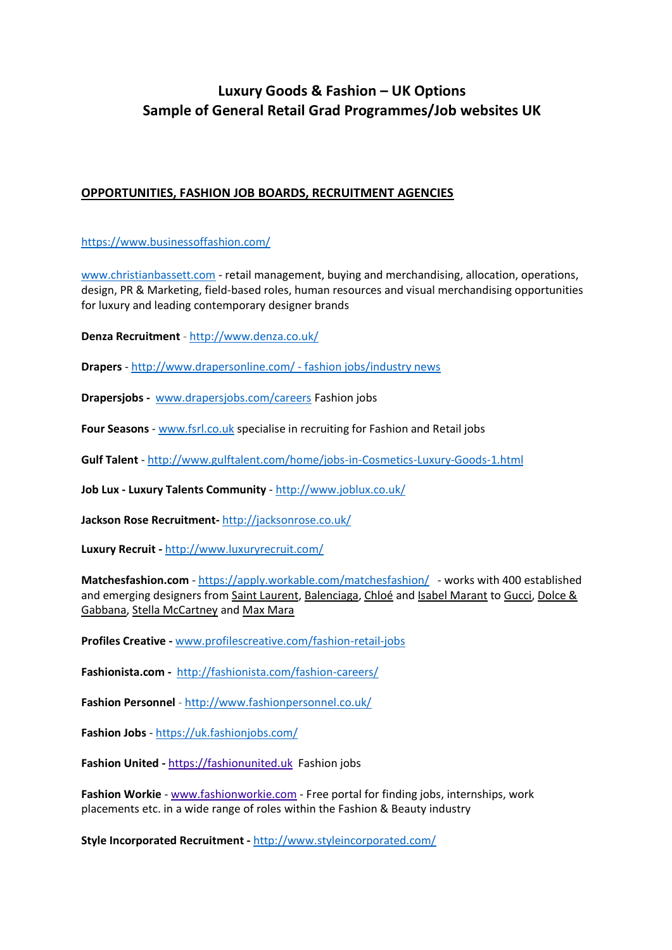# **Luxury Goods & Fashion – UK Options Sample of General Retail Grad Programmes/Job websites UK**

## **OPPORTUNITIES, FASHION JOB BOARDS, RECRUITMENT AGENCIES**

<https://www.businessoffashion.com/>

[www.christianbassett.com](http://www.christianbassett.com/) - retail management, buying and merchandising, allocation, operations, design, PR & Marketing, field-based roles, human resources and visual merchandising opportunities for luxury and leading contemporary designer brands

**Denza Recruitment** - <http://www.denza.co.uk/>

**Drapers** - <http://www.drapersonline.com/> - fashion jobs/industry news

**Drapersjobs -** [www.drapersjobs.com/careers](http://www.drapersjobs.com/careers) Fashion jobs

**Four Seasons** - [www.fsrl.co.uk](http://www.fsrl.co.uk/) specialise in recruiting for Fashion and Retail jobs

**Gulf Talent** - <http://www.gulftalent.com/home/jobs-in-Cosmetics-Luxury-Goods-1.html>

**Job Lux - Luxury Talents Community** - <http://www.joblux.co.uk/>

**Jackson Rose Recruitment-** <http://jacksonrose.co.uk/>

**Luxury Recruit -** <http://www.luxuryrecruit.com/>

**Matchesfashion.com** - <https://apply.workable.com/matchesfashion/> - works with 400 established and emerging designers from [Saint Laurent,](http://www.matchesfashion.com/womens/designers/saint-laurent) [Balenciaga,](http://www.matchesfashion.com/womens/designers/balenciaga) [Chloé](http://www.matchesfashion.com/womens/designers/chloe) and [Isabel Marant](http://www.matchesfashion.com/womens/designers/isabel-marant) to [Gucci,](http://www.matchesfashion.com/womens/designers/gucci) Dolce & [Gabbana,](http://www.matchesfashion.com/womens/designers/dolce-and-gabbana) [Stella McCartney](http://www.matchesfashion.com/womens/designers/stella-mccartney) and [Max Mara](http://www.matchesfashion.com/womens/designers/maxmara)

**Profiles Creative -** [www.profilescreative.com/fashion-retail-jobs](http://www.profilescreative.com/fashion-retail-jobs)

**Fashionista.com -** <http://fashionista.com/fashion-careers/>

**Fashion Personnel** - <http://www.fashionpersonnel.co.uk/>

**Fashion Jobs** - <https://uk.fashionjobs.com/>

**Fashion United -** [https://fashionunited.uk](https://fashionunited.uk/) Fashion jobs

**Fashion Workie** - [www.fashionworkie.com](http://www.fashionworkie.com/) - Free portal for finding jobs, internships, work placements etc. in a wide range of roles within the Fashion & Beauty industry

**Style Incorporated Recruitment -** <http://www.styleincorporated.com/>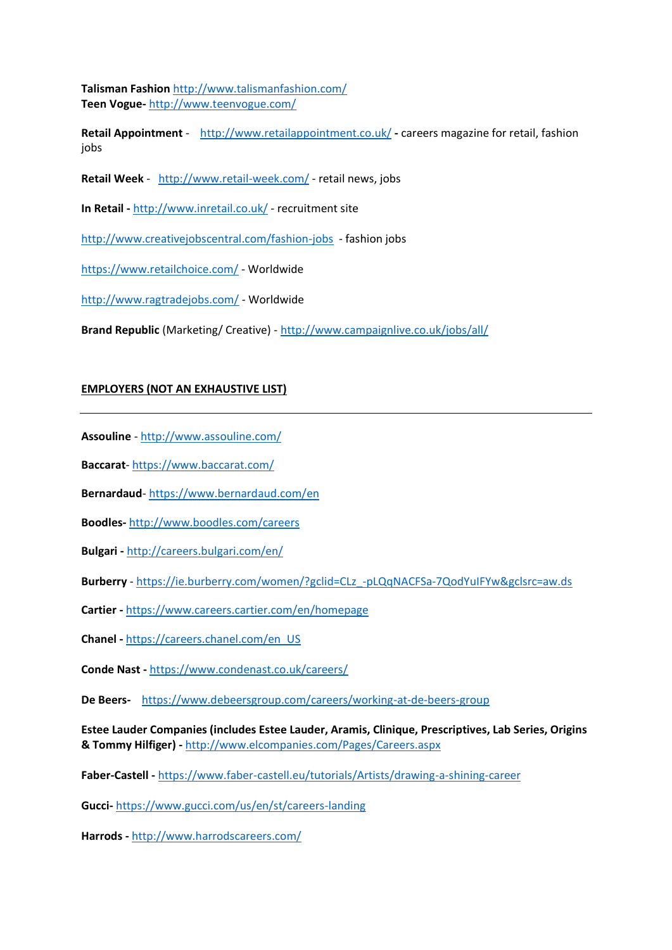**Talisman Fashion** <http://www.talismanfashion.com/> **Teen Vogue-** <http://www.teenvogue.com/>

**Retail Appointment** - <http://www.retailappointment.co.uk/> **-** careers magazine for retail, fashion jobs

- **Retail Week** <http://www.retail-week.com/> retail news, jobs
- **In Retail -** <http://www.inretail.co.uk/> recruitment site

<http://www.creativejobscentral.com/fashion-jobs>- fashion jobs

<https://www.retailchoice.com/> - Worldwide

<http://www.ragtradejobs.com/> - Worldwide

**Brand Republic** (Marketing/ Creative) - <http://www.campaignlive.co.uk/jobs/all/>

#### **EMPLOYERS (NOT AN EXHAUSTIVE LIST)**

**Assouline** - <http://www.assouline.com/>

**Baccarat**- <https://www.baccarat.com/>

**Bernardaud**- <https://www.bernardaud.com/en>

**Boodles-** <http://www.boodles.com/careers>

**Bulgari -** <http://careers.bulgari.com/en/>

**Burberry** - [https://ie.burberry.com/women/?gclid=CLz\\_-pLQqNACFSa-7QodYuIFYw&gclsrc=aw.ds](https://ie.burberry.com/women/?gclid=CLz_-pLQqNACFSa-7QodYuIFYw&gclsrc=aw.ds)

**Cartier -** <https://www.careers.cartier.com/en/homepage>

**Chanel -** [https://careers.chanel.com/en\\_US](https://careers.chanel.com/en_US)

**Conde Nast -** <https://www.condenast.co.uk/careers/>

**De Beers-** <https://www.debeersgroup.com/careers/working-at-de-beers-group>

**Estee Lauder Companies (includes Estee Lauder, Aramis, Clinique, Prescriptives, Lab Series, Origins & Tommy Hilfiger) -** <http://www.elcompanies.com/Pages/Careers.aspx>

**Faber-Castell -** <https://www.faber-castell.eu/tutorials/Artists/drawing-a-shining-career>

**Gucci-** <https://www.gucci.com/us/en/st/careers-landing>

**Harrods -** <http://www.harrodscareers.com/>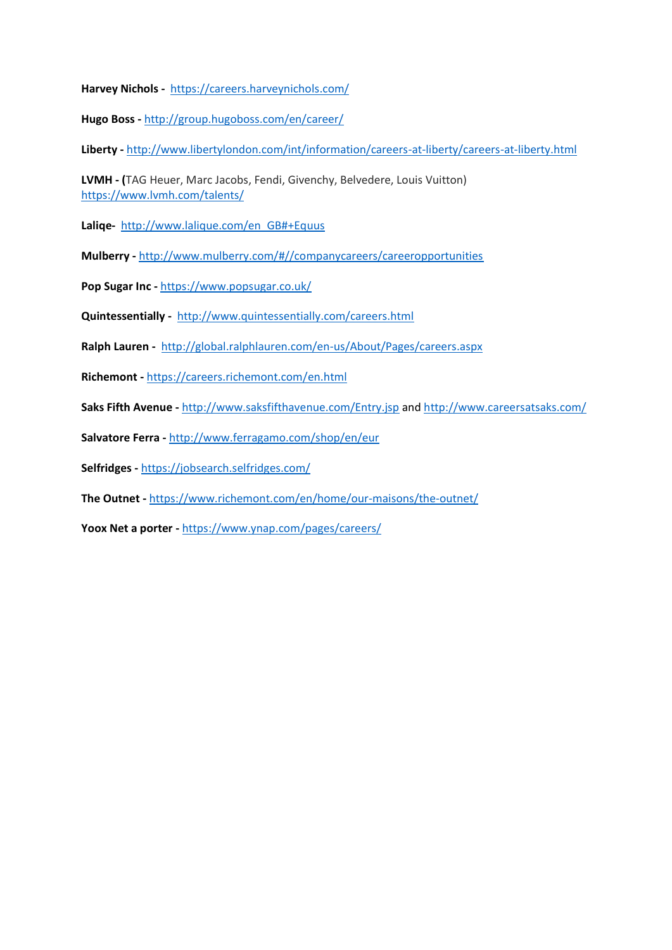**Harvey Nichols -** <https://careers.harveynichols.com/>

**Hugo Boss -** <http://group.hugoboss.com/en/career/>

**Liberty -** <http://www.libertylondon.com/int/information/careers-at-liberty/careers-at-liberty.html>

**LVMH - (**TAG Heuer, Marc Jacobs, Fendi, Givenchy, Belvedere, Louis Vuitton) <https://www.lvmh.com/talents/>

**Laliqe-** [http://www.lalique.com/en\\_GB#+Equus](http://www.lalique.com/en_GB#+Equus)

**Mulberry -** <http://www.mulberry.com/#//companycareers/careeropportunities>

**Pop Sugar Inc -** <https://www.popsugar.co.uk/>

**Quintessentially -** <http://www.quintessentially.com/careers.html>

**Ralph Lauren -** <http://global.ralphlauren.com/en-us/About/Pages/careers.aspx>

**Richemont -** <https://careers.richemont.com/en.html>

**Saks Fifth Avenue -** <http://www.saksfifthavenue.com/Entry.jsp> an[d http://www.careersatsaks.com/](http://www.careersatsaks.com/)

**Salvatore Ferra -** <http://www.ferragamo.com/shop/en/eur>

**Selfridges -** <https://jobsearch.selfridges.com/>

**The Outnet -** <https://www.richemont.com/en/home/our-maisons/the-outnet/>

**Yoox Net a porter -** <https://www.ynap.com/pages/careers/>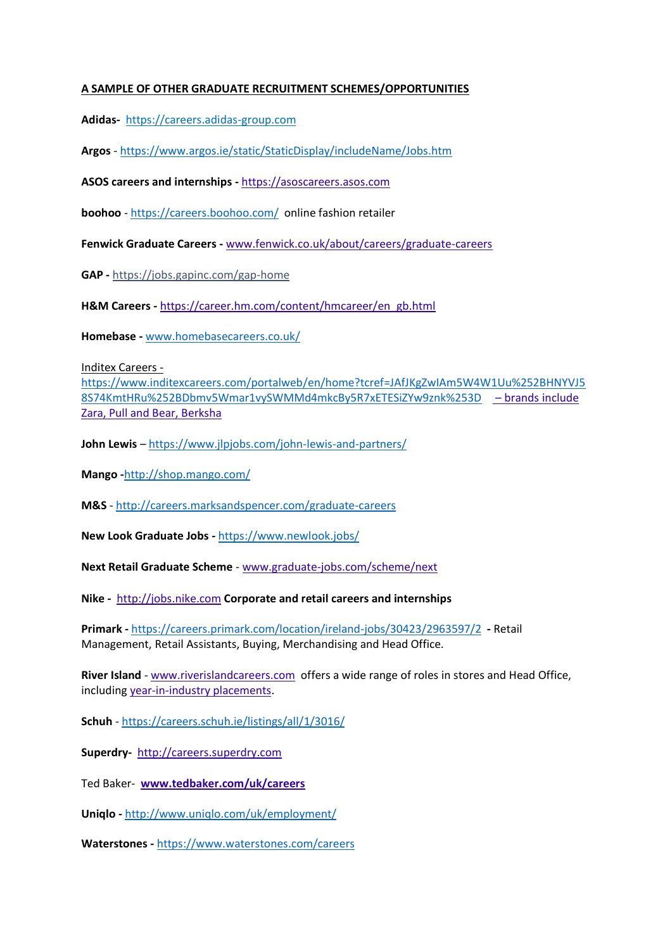#### **A SAMPLE OF OTHER GRADUATE RECRUITMENT SCHEMES/OPPORTUNITIES**

**Adidas-** [https://careers.adidas-group.com](https://careers.adidas-group.com/)

**Argos** - <https://www.argos.ie/static/StaticDisplay/includeName/Jobs.htm>

**ASOS careers and internships -** [https://asoscareers.asos.com](https://asoscareers.asos.com/)

**boohoo** - <https://careers.boohoo.com/> online fashion retailer

**Fenwick Graduate Careers -** [www.fenwick.co.uk/about/careers/graduate-careers](http://www.fenwick.co.uk/about/careers/graduate-careers/)

**GAP -** <https://jobs.gapinc.com/gap-home>

**H&M Careers -** [https://career.hm.com/content/hmcareer/en\\_gb.html](https://career.hm.com/content/hmcareer/en_gb.html)

**Homebase -** [www.homebasecareers.co.uk/](http://www.homebasecareers.co.uk/)

Inditex Careers -

[https://www.inditexcareers.com/portalweb/en/home?tcref=JAfJKgZwIAm5W4W1Uu%252BHNYVJ5](https://www.inditexcareers.com/portalweb/en/home?tcref=JAfJKgZwIAm5W4W1Uu%252BHNYVJ58S74KmtHRu%252BDbmv5Wmar1vySWMMd4mkcBy5R7xETESiZYw9znk%253D) [8S74KmtHRu%252BDbmv5Wmar1vySWMMd4mkcBy5R7xETESiZYw9znk%253D](https://www.inditexcareers.com/portalweb/en/home?tcref=JAfJKgZwIAm5W4W1Uu%252BHNYVJ58S74KmtHRu%252BDbmv5Wmar1vySWMMd4mkcBy5R7xETESiZYw9znk%253D) – brands include Zara, Pull and Bear, Berksha

**John Lewis** – <https://www.jlpjobs.com/john-lewis-and-partners/>

**Mango -**<http://shop.mango.com/>

**M&S** - <http://careers.marksandspencer.com/graduate-careers>

**New Look Graduate Jobs -** <https://www.newlook.jobs/>

**Next Retail Graduate Scheme** - [www.graduate-jobs.com/scheme/next](http://www.graduate-jobs.com/scheme/next)

**Nike -** [http://jobs.nike.com](http://jobs.nike.com/) **Corporate and retail careers and internships**

**Primark -** <https://careers.primark.com/location/ireland-jobs/30423/2963597/2> **-** Retail Management, Retail Assistants, Buying, Merchandising and Head Office.

**River Island** - [www.riverislandcareers.com](http://www.riverislandcareers.com/) offers a wide range of roles in stores and Head Office, including [year-in-industry placements.](http://www.riverislandcareers.com/roles/placements/)

**Schuh** - <https://careers.schuh.ie/listings/all/1/3016/>

**Superdry-** [http://careers.superdry.com](http://careers.superdry.com/)

Ted Baker- **[www.tedbaker.com/uk/careers](http://www.tedbaker.com/uk/careers)**

**Uniqlo -** <http://www.uniqlo.com/uk/employment/>

**Waterstones -** <https://www.waterstones.com/careers>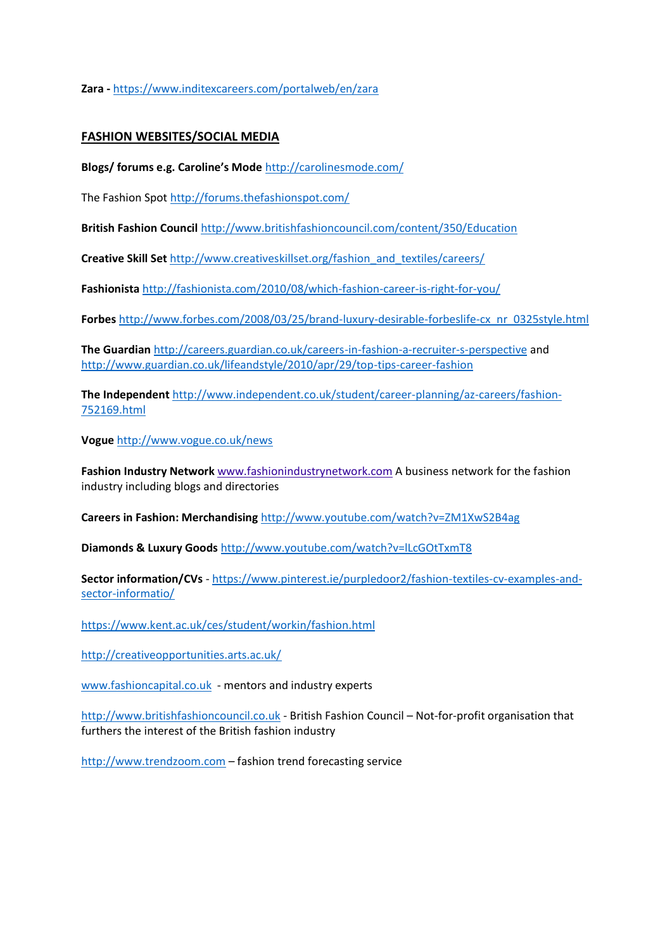**Zara -** <https://www.inditexcareers.com/portalweb/en/zara>

#### **FASHION WEBSITES/SOCIAL MEDIA**

**Blogs/ forums e.g. Caroline's Mode** <http://carolinesmode.com/>

The Fashion Spot<http://forums.thefashionspot.com/>

**British Fashion Council** <http://www.britishfashioncouncil.com/content/350/Education>

**Creative Skill Set** [http://www.creativeskillset.org/fashion\\_and\\_textiles/careers/](http://www.creativeskillset.org/fashion_and_textiles/careers/)

**Fashionista** <http://fashionista.com/2010/08/which-fashion-career-is-right-for-you/>

**Forbes** [http://www.forbes.com/2008/03/25/brand-luxury-desirable-forbeslife-cx\\_nr\\_0325style.html](http://www.forbes.com/2008/03/25/brand-luxury-desirable-forbeslife-cx_nr_0325style.html)

**The Guardian** <http://careers.guardian.co.uk/careers-in-fashion-a-recruiter-s-perspective> and <http://www.guardian.co.uk/lifeandstyle/2010/apr/29/top-tips-career-fashion>

**The Independent** [http://www.independent.co.uk/student/career-planning/az-careers/fashion-](http://www.independent.co.uk/student/career-planning/az-careers/fashion-752169.html)[752169.html](http://www.independent.co.uk/student/career-planning/az-careers/fashion-752169.html)

**Vogue** <http://www.vogue.co.uk/news>

**Fashion Industry Network** [www.fashionindustrynetwork.com](http://www.fashionindustrynetwork.com/) A business network for the fashion industry including blogs and directories

**Careers in Fashion: Merchandising** <http://www.youtube.com/watch?v=ZM1XwS2B4ag>

**Diamonds & Luxury Goods** <http://www.youtube.com/watch?v=lLcGOtTxmT8>

**Sector information/CVs** - [https://www.pinterest.ie/purpledoor2/fashion-textiles-cv-examples-and](https://www.pinterest.ie/purpledoor2/fashion-textiles-cv-examples-and-sector-informatio/)[sector-informatio/](https://www.pinterest.ie/purpledoor2/fashion-textiles-cv-examples-and-sector-informatio/)

<https://www.kent.ac.uk/ces/student/workin/fashion.html>

<http://creativeopportunities.arts.ac.uk/>

[www.fashioncapital.co.uk](http://www.fashioncapital.co.uk/) - mentors and industry experts

[http://www.britishfashioncouncil.co.uk](http://www.britishfashioncouncil.co.uk/) - British Fashion Council – Not-for-profit organisation that furthers the interest of the British fashion industry

[http://www.trendzoom.com](http://www.trendzoom.com/) – fashion trend forecasting service